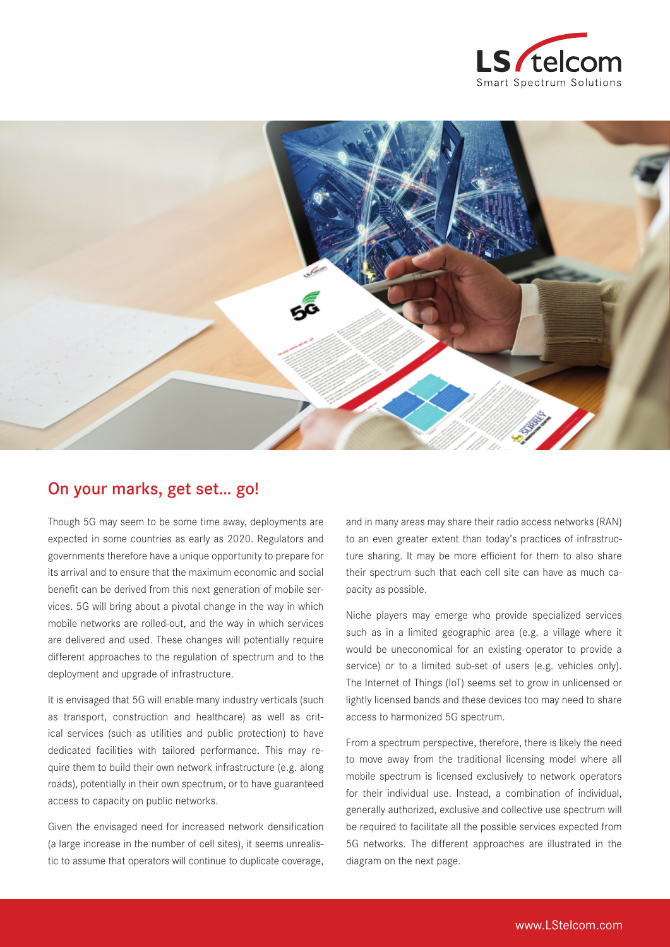



## On your marks, get set… go!

Though 5G may seem to be some time away, deployments are expected in some countries as early as 2020. Regulators and governments therefore have a unique opportunity to prepare for its arrival and to ensure that the maximum economic and social benefit can be derived from this next generation of mobile services. 5G will bring about a pivotal change in the way in which mobile networks are rolled-out, and the way in which services are delivered and used. These changes will potentially require different approaches to the regulation of spectrum and to the deployment and upgrade of infrastructure.

It is envisaged that 5G will enable many industry verticals (such as transport, construction and healthcare) as well as critical services (such as utilities and public protection) to have dedicated facilities with tailored performance. This may require them to build their own network infrastructure (e.g. along roads), potentially in their own spectrum, or to have guaranteed access to capacity on public networks.

Given the envisaged need for increased network densification (a large increase in the number of cell sites), it seems unrealistic to assume that operators will continue to duplicate coverage, and in many areas may share their radio access networks (RAN) to an even greater extent than today's practices of infrastructure sharing. It may be more efficient for them to also share their spectrum such that each cell site can have as much capacity as possible.

Niche players may emerge who provide specialized services such as in a limited geographic area (e.g. a village where it would be uneconomical for an existing operator to provide a service) or to a limited sub-set of users (e.g. vehicles only). The Internet of Things (IoT) seems set to grow in unlicensed or lightly licensed bands and these devices too may need to share access to harmonized 5G spectrum.

From a spectrum perspective, therefore, there is likely the need to move away from the traditional licensing model where all mobile spectrum is licensed exclusively to network operators for their individual use. Instead, a combination of individual, generally authorized, exclusive and collective use spectrum will be required to facilitate all the possible services expected from 5G networks. The different approaches are illustrated in the diagram on the next page.